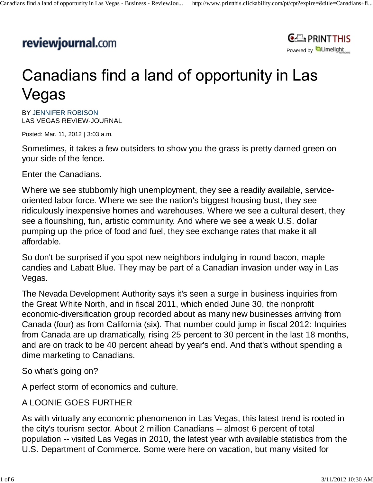## reviewjournal.com



## Canadians find a land of opportunity in Las Vegas

BY JENNIFER ROBISON LAS VEGAS REVIEW-JOURNAL

Posted: Mar. 11, 2012 | 3:03 a.m.

Sometimes, it takes a few outsiders to show you the grass is pretty darned green on your side of the fence.

Enter the Canadians.

Where we see stubbornly high unemployment, they see a readily available, serviceoriented labor force. Where we see the nation's biggest housing bust, they see ridiculously inexpensive homes and warehouses. Where we see a cultural desert, they see a flourishing, fun, artistic community. And where we see a weak U.S. dollar pumping up the price of food and fuel, they see exchange rates that make it all affordable.

So don't be surprised if you spot new neighbors indulging in round bacon, maple candies and Labatt Blue. They may be part of a Canadian invasion under way in Las Vegas.

The Nevada Development Authority says it's seen a surge in business inquiries from the Great White North, and in fiscal 2011, which ended June 30, the nonprofit economic-diversification group recorded about as many new businesses arriving from Canada (four) as from California (six). That number could jump in fiscal 2012: Inquiries from Canada are up dramatically, rising 25 percent to 30 percent in the last 18 months, and are on track to be 40 percent ahead by year's end. And that's without spending a dime marketing to Canadians.

So what's going on?

A perfect storm of economics and culture.

## A LOONIE GOES FURTHER

As with virtually any economic phenomenon in Las Vegas, this latest trend is rooted in the city's tourism sector. About 2 million Canadians -- almost 6 percent of total population -- visited Las Vegas in 2010, the latest year with available statistics from the U.S. Department of Commerce. Some were here on vacation, but many visited for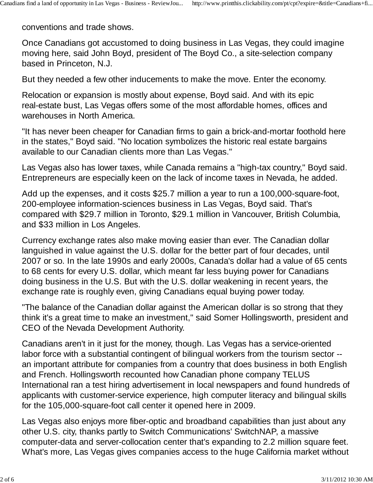conventions and trade shows.

Once Canadians got accustomed to doing business in Las Vegas, they could imagine moving here, said John Boyd, president of The Boyd Co., a site-selection company based in Princeton, N.J.

But they needed a few other inducements to make the move. Enter the economy.

Relocation or expansion is mostly about expense, Boyd said. And with its epic real-estate bust, Las Vegas offers some of the most affordable homes, offices and warehouses in North America.

"It has never been cheaper for Canadian firms to gain a brick-and-mortar foothold here in the states," Boyd said. "No location symbolizes the historic real estate bargains available to our Canadian clients more than Las Vegas."

Las Vegas also has lower taxes, while Canada remains a "high-tax country," Boyd said. Entrepreneurs are especially keen on the lack of income taxes in Nevada, he added.

Add up the expenses, and it costs \$25.7 million a year to run a 100,000-square-foot, 200-employee information-sciences business in Las Vegas, Boyd said. That's compared with \$29.7 million in Toronto, \$29.1 million in Vancouver, British Columbia, and \$33 million in Los Angeles.

Currency exchange rates also make moving easier than ever. The Canadian dollar languished in value against the U.S. dollar for the better part of four decades, until 2007 or so. In the late 1990s and early 2000s, Canada's dollar had a value of 65 cents to 68 cents for every U.S. dollar, which meant far less buying power for Canadians doing business in the U.S. But with the U.S. dollar weakening in recent years, the exchange rate is roughly even, giving Canadians equal buying power today.

"The balance of the Canadian dollar against the American dollar is so strong that they think it's a great time to make an investment," said Somer Hollingsworth, president and CEO of the Nevada Development Authority.

Canadians aren't in it just for the money, though. Las Vegas has a service-oriented labor force with a substantial contingent of bilingual workers from the tourism sector - an important attribute for companies from a country that does business in both English and French. Hollingsworth recounted how Canadian phone company TELUS International ran a test hiring advertisement in local newspapers and found hundreds of applicants with customer-service experience, high computer literacy and bilingual skills for the 105,000-square-foot call center it opened here in 2009.

Las Vegas also enjoys more fiber-optic and broadband capabilities than just about any other U.S. city, thanks partly to Switch Communications' SwitchNAP, a massive computer-data and server-collocation center that's expanding to 2.2 million square feet. What's more, Las Vegas gives companies access to the huge California market without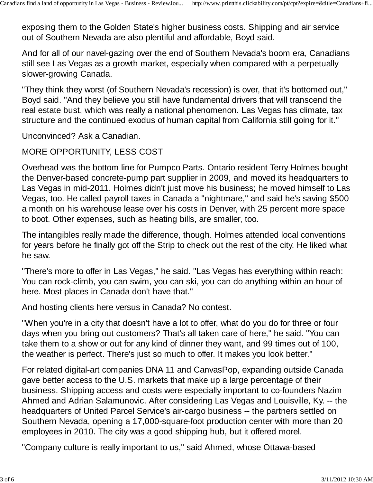exposing them to the Golden State's higher business costs. Shipping and air service out of Southern Nevada are also plentiful and affordable, Boyd said.

And for all of our navel-gazing over the end of Southern Nevada's boom era, Canadians still see Las Vegas as a growth market, especially when compared with a perpetually slower-growing Canada.

"They think they worst (of Southern Nevada's recession) is over, that it's bottomed out," Boyd said. "And they believe you still have fundamental drivers that will transcend the real estate bust, which was really a national phenomenon. Las Vegas has climate, tax structure and the continued exodus of human capital from California still going for it."

Unconvinced? Ask a Canadian.

## MORE OPPORTUNITY, LESS COST

Overhead was the bottom line for Pumpco Parts. Ontario resident Terry Holmes bought the Denver-based concrete-pump part supplier in 2009, and moved its headquarters to Las Vegas in mid-2011. Holmes didn't just move his business; he moved himself to Las Vegas, too. He called payroll taxes in Canada a "nightmare," and said he's saving \$500 a month on his warehouse lease over his costs in Denver, with 25 percent more space to boot. Other expenses, such as heating bills, are smaller, too.

The intangibles really made the difference, though. Holmes attended local conventions for years before he finally got off the Strip to check out the rest of the city. He liked what he saw.

"There's more to offer in Las Vegas," he said. "Las Vegas has everything within reach: You can rock-climb, you can swim, you can ski, you can do anything within an hour of here. Most places in Canada don't have that."

And hosting clients here versus in Canada? No contest.

"When you're in a city that doesn't have a lot to offer, what do you do for three or four days when you bring out customers? That's all taken care of here," he said. "You can take them to a show or out for any kind of dinner they want, and 99 times out of 100, the weather is perfect. There's just so much to offer. It makes you look better."

For related digital-art companies DNA 11 and CanvasPop, expanding outside Canada gave better access to the U.S. markets that make up a large percentage of their business. Shipping access and costs were especially important to co-founders Nazim Ahmed and Adrian Salamunovic. After considering Las Vegas and Louisville, Ky. -- the headquarters of United Parcel Service's air-cargo business -- the partners settled on Southern Nevada, opening a 17,000-square-foot production center with more than 20 employees in 2010. The city was a good shipping hub, but it offered morel.

"Company culture is really important to us," said Ahmed, whose Ottawa-based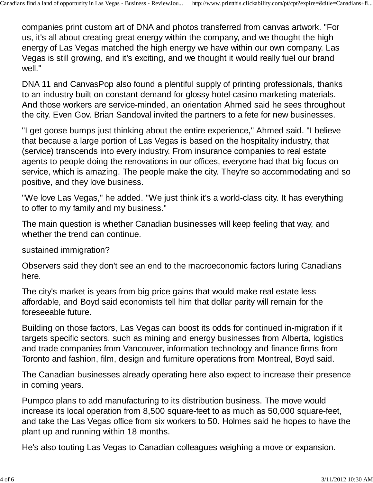companies print custom art of DNA and photos transferred from canvas artwork. "For us, it's all about creating great energy within the company, and we thought the high energy of Las Vegas matched the high energy we have within our own company. Las Vegas is still growing, and it's exciting, and we thought it would really fuel our brand well."

DNA 11 and CanvasPop also found a plentiful supply of printing professionals, thanks to an industry built on constant demand for glossy hotel-casino marketing materials. And those workers are service-minded, an orientation Ahmed said he sees throughout the city. Even Gov. Brian Sandoval invited the partners to a fete for new businesses.

"I get goose bumps just thinking about the entire experience," Ahmed said. "I believe that because a large portion of Las Vegas is based on the hospitality industry, that (service) transcends into every industry. From insurance companies to real estate agents to people doing the renovations in our offices, everyone had that big focus on service, which is amazing. The people make the city. They're so accommodating and so positive, and they love business.

"We love Las Vegas," he added. "We just think it's a world-class city. It has everything to offer to my family and my business."

The main question is whether Canadian businesses will keep feeling that way, and whether the trend can continue.

sustained immigration?

Observers said they don't see an end to the macroeconomic factors luring Canadians here.

The city's market is years from big price gains that would make real estate less affordable, and Boyd said economists tell him that dollar parity will remain for the foreseeable future.

Building on those factors, Las Vegas can boost its odds for continued in-migration if it targets specific sectors, such as mining and energy businesses from Alberta, logistics and trade companies from Vancouver, information technology and finance firms from Toronto and fashion, film, design and furniture operations from Montreal, Boyd said.

The Canadian businesses already operating here also expect to increase their presence in coming years.

Pumpco plans to add manufacturing to its distribution business. The move would increase its local operation from 8,500 square-feet to as much as 50,000 square-feet, and take the Las Vegas office from six workers to 50. Holmes said he hopes to have the plant up and running within 18 months.

He's also touting Las Vegas to Canadian colleagues weighing a move or expansion.